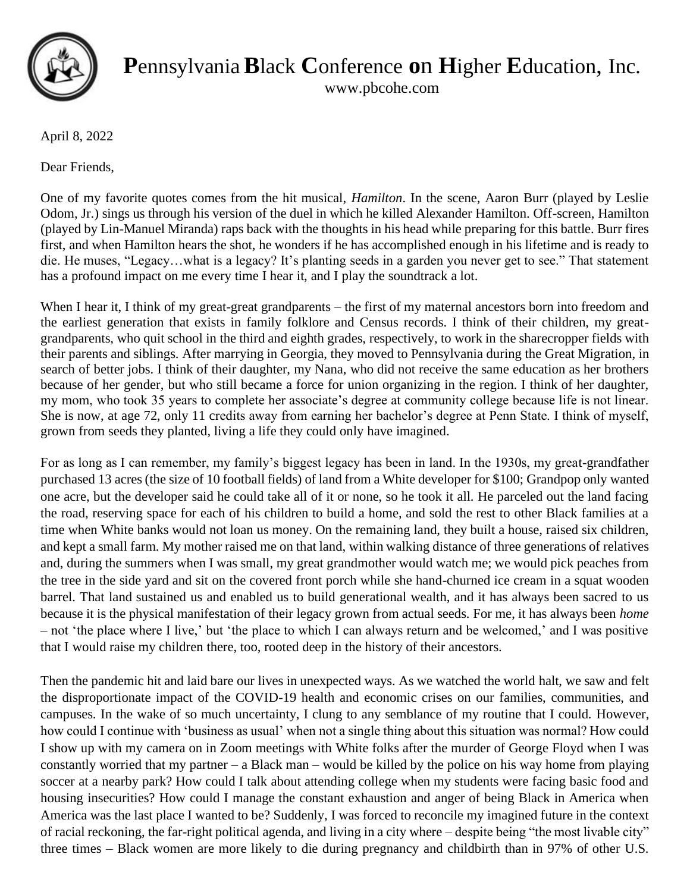

**P**ennsylvania**B**lack **C**onference **o**n **H**igher **E**ducation, Inc.

www.pbcohe.com

April 8, 2022

Dear Friends,

One of my favorite quotes comes from the hit musical, *Hamilton*. In the scene, Aaron Burr (played by Leslie Odom, Jr.) sings us through his version of the duel in which he killed Alexander Hamilton. Off-screen, Hamilton (played by Lin-Manuel Miranda) raps back with the thoughts in his head while preparing for this battle. Burr fires first, and when Hamilton hears the shot, he wonders if he has accomplished enough in his lifetime and is ready to die. He muses, "Legacy…what is a legacy? It's planting seeds in a garden you never get to see." That statement has a profound impact on me every time I hear it, and I play the soundtrack a lot.

When I hear it, I think of my great-great grandparents – the first of my maternal ancestors born into freedom and the earliest generation that exists in family folklore and Census records. I think of their children, my greatgrandparents, who quit school in the third and eighth grades, respectively, to work in the sharecropper fields with their parents and siblings. After marrying in Georgia, they moved to Pennsylvania during the Great Migration, in search of better jobs. I think of their daughter, my Nana, who did not receive the same education as her brothers because of her gender, but who still became a force for union organizing in the region. I think of her daughter, my mom, who took 35 years to complete her associate's degree at community college because life is not linear. She is now, at age 72, only 11 credits away from earning her bachelor's degree at Penn State. I think of myself, grown from seeds they planted, living a life they could only have imagined.

For as long as I can remember, my family's biggest legacy has been in land. In the 1930s, my great-grandfather purchased 13 acres (the size of 10 football fields) of land from a White developer for \$100; Grandpop only wanted one acre, but the developer said he could take all of it or none, so he took it all. He parceled out the land facing the road, reserving space for each of his children to build a home, and sold the rest to other Black families at a time when White banks would not loan us money. On the remaining land, they built a house, raised six children, and kept a small farm. My mother raised me on that land, within walking distance of three generations of relatives and, during the summers when I was small, my great grandmother would watch me; we would pick peaches from the tree in the side yard and sit on the covered front porch while she hand-churned ice cream in a squat wooden barrel. That land sustained us and enabled us to build generational wealth, and it has always been sacred to us because it is the physical manifestation of their legacy grown from actual seeds. For me, it has always been *home* – not 'the place where I live,' but 'the place to which I can always return and be welcomed,' and I was positive that I would raise my children there, too, rooted deep in the history of their ancestors.

Then the pandemic hit and laid bare our lives in unexpected ways. As we watched the world halt, we saw and felt the disproportionate impact of the COVID-19 health and economic crises on our families, communities, and campuses. In the wake of so much uncertainty, I clung to any semblance of my routine that I could. However, how could I continue with 'business as usual' when not a single thing about this situation was normal? How could I show up with my camera on in Zoom meetings with White folks after the murder of George Floyd when I was constantly worried that my partner – a Black man – would be killed by the police on his way home from playing soccer at a nearby park? How could I talk about attending college when my students were facing basic food and housing insecurities? How could I manage the constant exhaustion and anger of being Black in America when America was the last place I wanted to be? Suddenly, I was forced to reconcile my imagined future in the context of racial reckoning, the far-right political agenda, and living in a city where – despite being "the most livable city" three times – Black women are more likely to die during pregnancy and childbirth than in 97% of other U.S.